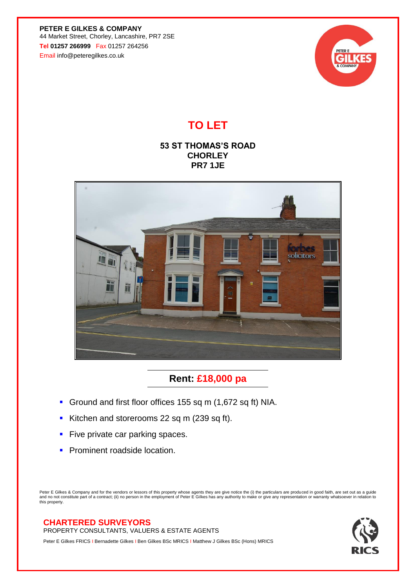**PETER E GILKES & COMPANY** 44 Market Street, Chorley, Lancashire, PR7 2SE **Tel 01257 266999** Fax 01257 264256 Email info@peteregilkes.co.uk



# **TO LET**

### **53 ST THOMAS'S ROAD CHORLEY PR7 1JE**



## **Rent: £18,000 pa**

- Ground and first floor offices 155 sq m (1,672 sq ft) NIA.
- Kitchen and storerooms 22 sq m (239 sq ft).
- **EXECT** Five private car parking spaces.
- **Prominent roadside location.**

Peter E Gilkes & Company and for the vendors or lessors of this property whose agents they are give notice the (i) the particulars are produced in good faith, are set out as a guide<br>and no not constitute part of a contract this property.

### **CHARTERED SURVEYORS**

PROPERTY CONSULTANTS, VALUERS & ESTATE AGENTS

Peter E Gilkes FRICS I Bernadette Gilkes I Ben Gilkes BSc MRICS I Matthew J Gilkes BSc (Hons) MRICS

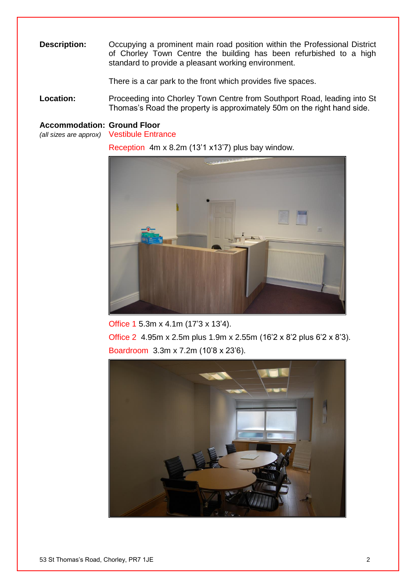**Description:** Occupying a prominent main road position within the Professional District of Chorley Town Centre the building has been refurbished to a high standard to provide a pleasant working environment.

There is a car park to the front which provides five spaces.

**Location:** Proceeding into Chorley Town Centre from Southport Road, leading into St Thomas's Road the property is approximately 50m on the right hand side.

#### **Accommodation: Ground Floor**

*(all sizes are approx)* Vestibule Entrance

Reception 4m x 8.2m (13'1 x13'7) plus bay window.



Office 1 5.3m x 4.1m (17'3 x 13'4). Office 2 4.95m x 2.5m plus 1.9m x 2.55m (16'2 x 8'2 plus 6'2 x 8'3). Boardroom 3.3m x 7.2m (10'8 x 23'6).

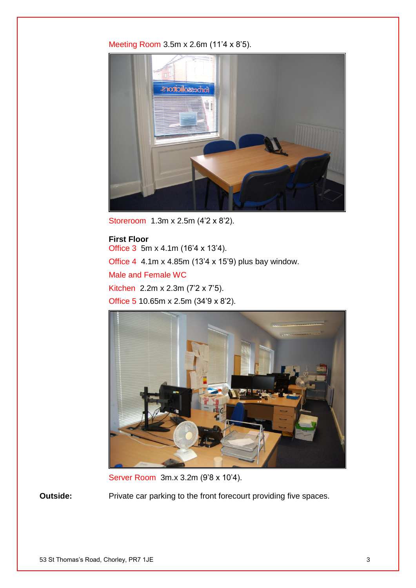#### Meeting Room 3.5m x 2.6m (11'4 x 8'5).



Storeroom 1.3m x 2.5m (4'2 x 8'2).

## **First Floor** Office 3 5m x 4.1m (16'4 x 13'4). Office 4 4.1m x 4.85m (13'4 x 15'9) plus bay window. Male and Female WC Kitchen 2.2m x 2.3m (7'2 x 7'5). Office 5 10.65m x 2.5m (34'9 x 8'2).



Server Room 3m.x 3.2m (9'8 x 10'4).

**Outside:** Private car parking to the front forecourt providing five spaces.